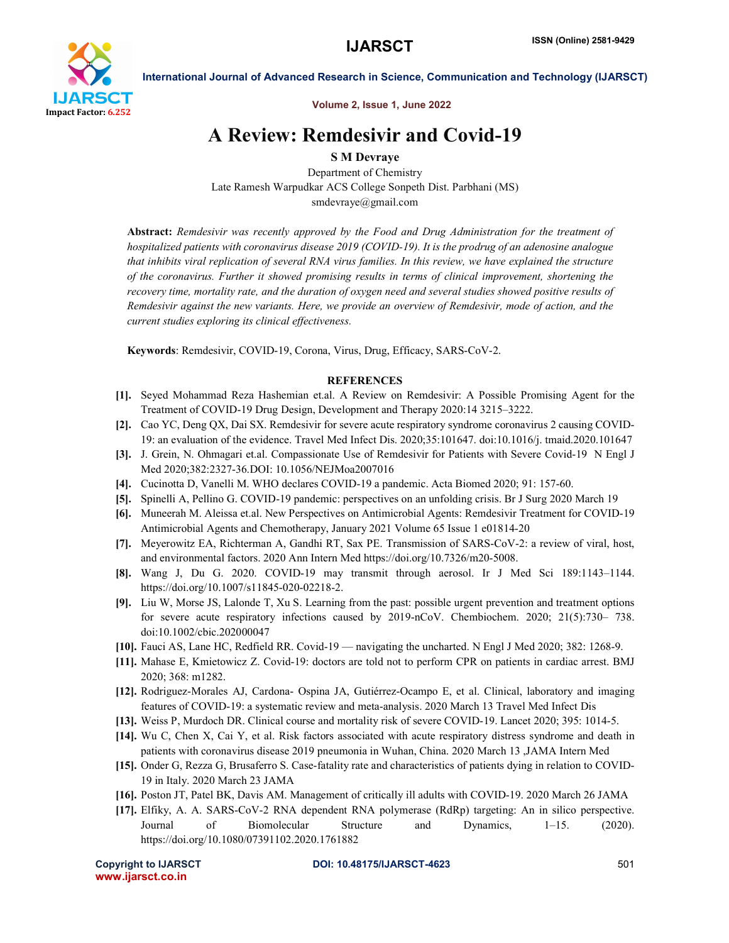

Volume 2, Issue 1, June 2022

# A Review: Remdesivir and Covid-19

S M Devraye

Department of Chemistry Late Ramesh Warpudkar ACS College Sonpeth Dist. Parbhani (MS) smdevraye@gmail.com

Abstract: *Remdesivir was recently approved by the Food and Drug Administration for the treatment of hospitalized patients with coronavirus disease 2019 (COVID-19). It is the prodrug of an adenosine analogue that inhibits viral replication of several RNA virus families. In this review, we have explained the structure of the coronavirus. Further it showed promising results in terms of clinical improvement, shortening the recovery time, mortality rate, and the duration of oxygen need and several studies showed positive results of Remdesivir against the new variants. Here, we provide an overview of Remdesivir, mode of action, and the current studies exploring its clinical effectiveness.*

Keywords: Remdesivir, COVID-19, Corona, Virus, Drug, Efficacy, SARS-CoV-2.

## **REFERENCES**

- [1]. Seyed Mohammad Reza Hashemian et.al. A Review on Remdesivir: A Possible Promising Agent for the Treatment of COVID-19 Drug Design, Development and Therapy 2020:14 3215–3222.
- [2]. Cao YC, Deng QX, Dai SX. Remdesivir for severe acute respiratory syndrome coronavirus 2 causing COVID-19: an evaluation of the evidence. Travel Med Infect Dis. 2020;35:101647. doi:10.1016/j. tmaid.2020.101647
- [3]. J. Grein, N. Ohmagari et.al. Compassionate Use of Remdesivir for Patients with Severe Covid-19 N Engl J Med 2020;382:2327-36.DOI: 10.1056/NEJMoa2007016
- [4]. Cucinotta D, Vanelli M. WHO declares COVID-19 a pandemic. Acta Biomed 2020; 91: 157-60.
- [5]. Spinelli A, Pellino G. COVID-19 pandemic: perspectives on an unfolding crisis. Br J Surg 2020 March 19
- [6]. Muneerah M. Aleissa et.al. New Perspectives on Antimicrobial Agents: Remdesivir Treatment for COVID-19 Antimicrobial Agents and Chemotherapy, January 2021 Volume 65 Issue 1 e01814-20
- [7]. Meyerowitz EA, Richterman A, Gandhi RT, Sax PE. Transmission of SARS-CoV-2: a review of viral, host, and environmental factors. 2020 Ann Intern Med https://doi.org/10.7326/m20-5008.
- [8]. Wang J, Du G. 2020. COVID-19 may transmit through aerosol. Ir J Med Sci 189:1143–1144. https://doi.org/10.1007/s11845-020-02218-2.
- [9]. Liu W, Morse JS, Lalonde T, Xu S. Learning from the past: possible urgent prevention and treatment options for severe acute respiratory infections caused by 2019-nCoV. Chembiochem. 2020; 21(5):730– 738. doi:10.1002/cbic.202000047
- [10]. Fauci AS, Lane HC, Redfield RR. Covid-19 navigating the uncharted. N Engl J Med 2020; 382: 1268-9.
- [11]. Mahase E, Kmietowicz Z. Covid-19: doctors are told not to perform CPR on patients in cardiac arrest. BMJ 2020; 368: m1282.
- [12]. Rodriguez-Morales AJ, Cardona- Ospina JA, Gutiérrez-Ocampo E, et al. Clinical, laboratory and imaging features of COVID-19: a systematic review and meta-analysis. 2020 March 13 Travel Med Infect Dis
- [13]. Weiss P, Murdoch DR. Clinical course and mortality risk of severe COVID-19. Lancet 2020; 395: 1014-5.
- [14]. Wu C, Chen X, Cai Y, et al. Risk factors associated with acute respiratory distress syndrome and death in patients with coronavirus disease 2019 pneumonia in Wuhan, China. 2020 March 13 ,JAMA Intern Med
- [15]. Onder G, Rezza G, Brusaferro S. Case-fatality rate and characteristics of patients dying in relation to COVID-19 in Italy. 2020 March 23 JAMA
- [16]. Poston JT, Patel BK, Davis AM. Management of critically ill adults with COVID-19. 2020 March 26 JAMA
- [17]. Elfiky, A. A. SARS-CoV-2 RNA dependent RNA polymerase (RdRp) targeting: An in silico perspective. Journal of Biomolecular Structure and Dynamics, 1–15. (2020). https://doi.org/10.1080/07391102.2020.1761882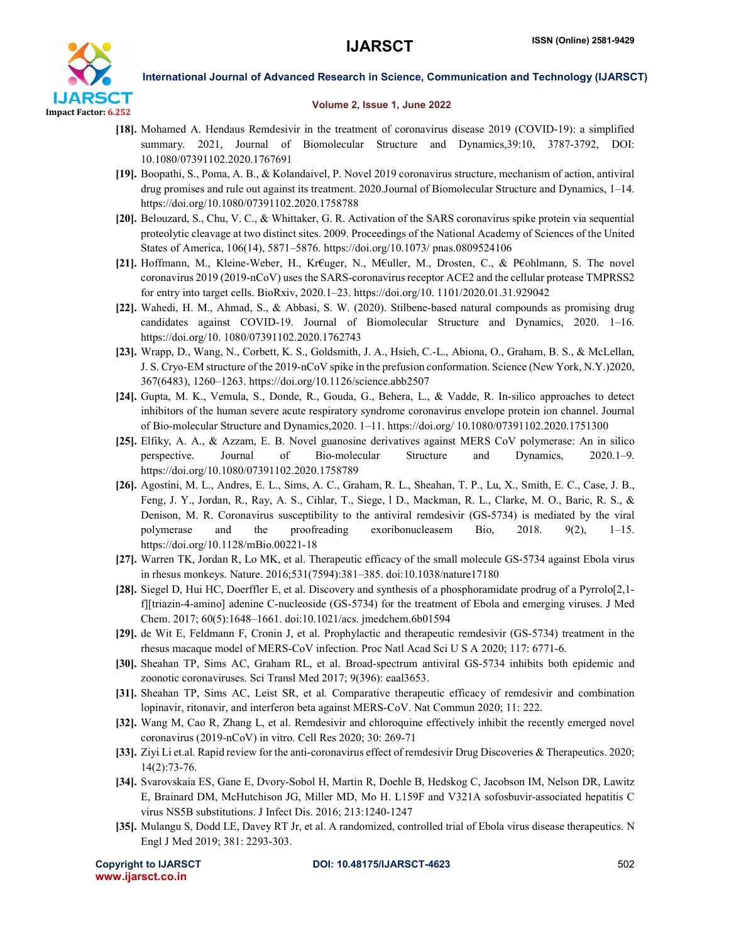

### Volume 2, Issue 1, June 2022

- [18]. Mohamed A. Hendaus Remdesivir in the treatment of coronavirus disease 2019 (COVID-19): a simplified summary. 2021, Journal of Biomolecular Structure and Dynamics,39:10, 3787-3792, DOI: 10.1080/07391102.2020.1767691
- [19]. Boopathi, S., Poma, A. B., & Kolandaivel, P. Novel 2019 coronavirus structure, mechanism of action, antiviral drug promises and rule out against its treatment. 2020.Journal of Biomolecular Structure and Dynamics, 1–14. https://doi.org/10.1080/07391102.2020.1758788
- [20]. Belouzard, S., Chu, V. C., & Whittaker, G. R. Activation of the SARS coronavirus spike protein via sequential proteolytic cleavage at two distinct sites. 2009. Proceedings of the National Academy of Sciences of the United States of America, 106(14), 5871–5876. https://doi.org/10.1073/ pnas.0809524106
- [21]. Hoffmann, M., Kleine-Weber, H., Kr€uger, N., M€uller, M., Drosten, C., & P€ohlmann, S. The novel coronavirus 2019 (2019-nCoV) uses the SARS-coronavirus receptor ACE2 and the cellular protease TMPRSS2 for entry into target cells. BioRxiv, 2020.1–23. https://doi.org/10. 1101/2020.01.31.929042
- [22]. Wahedi, H. M., Ahmad, S., & Abbasi, S. W. (2020). Stilbene-based natural compounds as promising drug candidates against COVID-19. Journal of Biomolecular Structure and Dynamics, 2020. 1–16. https://doi.org/10. 1080/07391102.2020.1762743
- [23]. Wrapp, D., Wang, N., Corbett, K. S., Goldsmith, J. A., Hsieh, C.-L., Abiona, O., Graham, B. S., & McLellan, J. S. Cryo-EM structure of the 2019-nCoV spike in the prefusion conformation. Science (New York, N.Y.)2020, 367(6483), 1260–1263. https://doi.org/10.1126/science.abb2507
- [24]. Gupta, M. K., Vemula, S., Donde, R., Gouda, G., Behera, L., & Vadde, R. In-silico approaches to detect inhibitors of the human severe acute respiratory syndrome coronavirus envelope protein ion channel. Journal of Bio-molecular Structure and Dynamics,2020. 1–11. https://doi.org/ 10.1080/07391102.2020.1751300
- [25]. Elfiky, A. A., & Azzam, E. B. Novel guanosine derivatives against MERS CoV polymerase: An in silico perspective. Journal of Bio-molecular Structure and Dynamics, 2020.1–9. https://doi.org/10.1080/07391102.2020.1758789
- [26]. Agostini, M. L., Andres, E. L., Sims, A. C., Graham, R. L., Sheahan, T. P., Lu, X., Smith, E. C., Case, J. B., Feng, J. Y., Jordan, R., Ray, A. S., Cihlar, T., Siege, l D., Mackman, R. L., Clarke, M. O., Baric, R. S., & Denison, M. R. Coronavirus susceptibility to the antiviral remdesivir (GS-5734) is mediated by the viral polymerase and the proofreading exoribonucleasem Bio, 2018. 9(2), 1–15. https://doi.org/10.1128/mBio.00221-18
- [27]. Warren TK, Jordan R, Lo MK, et al. Therapeutic efficacy of the small molecule GS-5734 against Ebola virus in rhesus monkeys. Nature. 2016;531(7594):381–385. doi:10.1038/nature17180
- [28]. Siegel D, Hui HC, Doerffler E, et al. Discovery and synthesis of a phosphoramidate prodrug of a Pyrrolo[2,1 f][triazin-4-amino] adenine C-nucleoside (GS-5734) for the treatment of Ebola and emerging viruses. J Med Chem. 2017; 60(5):1648–1661. doi:10.1021/acs. jmedchem.6b01594
- [29]. de Wit E, Feldmann F, Cronin J, et al. Prophylactic and therapeutic remdesivir (GS-5734) treatment in the rhesus macaque model of MERS-CoV infection. Proc Natl Acad Sci U S A 2020; 117: 6771-6.
- [30]. Sheahan TP, Sims AC, Graham RL, et al. Broad-spectrum antiviral GS-5734 inhibits both epidemic and zoonotic coronaviruses. Sci Transl Med 2017; 9(396): eaal3653.
- [31]. Sheahan TP, Sims AC, Leist SR, et al. Comparative therapeutic efficacy of remdesivir and combination lopinavir, ritonavir, and interferon beta against MERS-CoV. Nat Commun 2020; 11: 222.
- [32]. Wang M, Cao R, Zhang L, et al. Remdesivir and chloroquine effectively inhibit the recently emerged novel coronavirus (2019-nCoV) in vitro. Cell Res 2020; 30: 269-71
- [33]. Ziyi Li et.al. Rapid review for the anti-coronavirus effect of remdesivir Drug Discoveries & Therapeutics. 2020; 14(2):73-76.
- [34]. Svarovskaia ES, Gane E, Dvory-Sobol H, Martin R, Doehle B, Hedskog C, Jacobson IM, Nelson DR, Lawitz E, Brainard DM, McHutchison JG, Miller MD, Mo H. L159F and V321A sofosbuvir-associated hepatitis C virus NS5B substitutions. J Infect Dis. 2016; 213:1240-1247
- [35]. Mulangu S, Dodd LE, Davey RT Jr, et al. A randomized, controlled trial of Ebola virus disease therapeutics. N Engl J Med 2019; 381: 2293-303.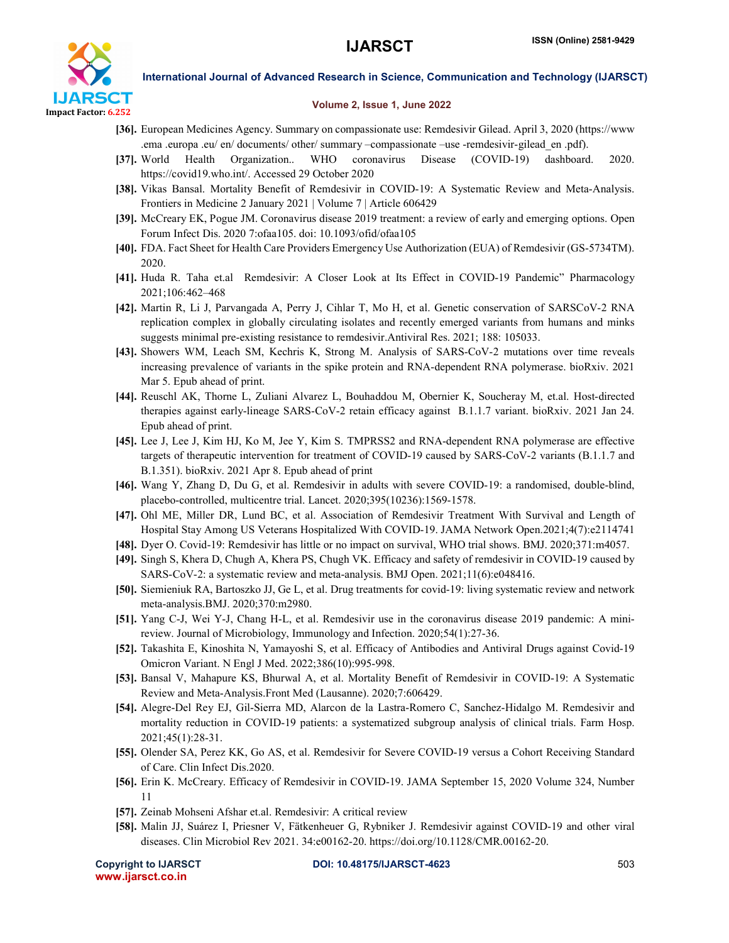

### Volume 2, Issue 1, June 2022

- [36]. European Medicines Agency. Summary on compassionate use: Remdesivir Gilead. April 3, 2020 (https://www .ema .europa .eu/ en/ documents/ other/ summary –compassionate –use -remdesivir-gilead\_en .pdf).
- [37]. World Health Organization.. WHO coronavirus Disease (COVID-19) dashboard. 2020. https://covid19.who.int/. Accessed 29 October 2020
- [38]. Vikas Bansal. Mortality Benefit of Remdesivir in COVID-19: A Systematic Review and Meta-Analysis. Frontiers in Medicine 2 January 2021 | Volume 7 | Article 606429
- [39]. McCreary EK, Pogue JM. Coronavirus disease 2019 treatment: a review of early and emerging options. Open Forum Infect Dis. 2020 7:ofaa105. doi: 10.1093/ofid/ofaa105
- [40]. FDA. Fact Sheet for Health Care Providers Emergency Use Authorization (EUA) of Remdesivir (GS-5734TM). 2020.
- [41]. Huda R. Taha et.al Remdesivir: A Closer Look at Its Effect in COVID-19 Pandemic" Pharmacology 2021;106:462–468
- [42]. Martin R, Li J, Parvangada A, Perry J, Cihlar T, Mo H, et al. Genetic conservation of SARSCoV-2 RNA replication complex in globally circulating isolates and recently emerged variants from humans and minks suggests minimal pre-existing resistance to remdesivir.Antiviral Res. 2021; 188: 105033.
- [43]. Showers WM, Leach SM, Kechris K, Strong M. Analysis of SARS-CoV-2 mutations over time reveals increasing prevalence of variants in the spike protein and RNA-dependent RNA polymerase. bioRxiv. 2021 Mar 5. Epub ahead of print.
- [44]. Reuschl AK, Thorne L, Zuliani Alvarez L, Bouhaddou M, Obernier K, Soucheray M, et.al. Host-directed therapies against early-lineage SARS-CoV-2 retain efficacy against B.1.1.7 variant. bioRxiv. 2021 Jan 24. Epub ahead of print.
- [45]. Lee J, Lee J, Kim HJ, Ko M, Jee Y, Kim S. TMPRSS2 and RNA-dependent RNA polymerase are effective targets of therapeutic intervention for treatment of COVID-19 caused by SARS-CoV-2 variants (B.1.1.7 and B.1.351). bioRxiv. 2021 Apr 8. Epub ahead of print
- [46]. Wang Y, Zhang D, Du G, et al. Remdesivir in adults with severe COVID-19: a randomised, double-blind, placebo-controlled, multicentre trial. Lancet. 2020;395(10236):1569-1578.
- [47]. Ohl ME, Miller DR, Lund BC, et al. Association of Remdesivir Treatment With Survival and Length of Hospital Stay Among US Veterans Hospitalized With COVID-19. JAMA Network Open.2021;4(7):e2114741
- [48]. Dyer O. Covid-19: Remdesivir has little or no impact on survival, WHO trial shows. BMJ. 2020;371:m4057.
- [49]. Singh S, Khera D, Chugh A, Khera PS, Chugh VK. Efficacy and safety of remdesivir in COVID-19 caused by SARS-CoV-2: a systematic review and meta-analysis. BMJ Open. 2021;11(6):e048416.
- [50]. Siemieniuk RA, Bartoszko JJ, Ge L, et al. Drug treatments for covid-19: living systematic review and network meta-analysis.BMJ. 2020;370:m2980.
- [51]. Yang C-J, Wei Y-J, Chang H-L, et al. Remdesivir use in the coronavirus disease 2019 pandemic: A minireview. Journal of Microbiology, Immunology and Infection. 2020;54(1):27-36.
- [52]. Takashita E, Kinoshita N, Yamayoshi S, et al. Efficacy of Antibodies and Antiviral Drugs against Covid-19 Omicron Variant. N Engl J Med. 2022;386(10):995-998.
- [53]. Bansal V, Mahapure KS, Bhurwal A, et al. Mortality Benefit of Remdesivir in COVID-19: A Systematic Review and Meta-Analysis.Front Med (Lausanne). 2020;7:606429.
- [54]. Alegre-Del Rey EJ, Gil-Sierra MD, Alarcon de la Lastra-Romero C, Sanchez-Hidalgo M. Remdesivir and mortality reduction in COVID-19 patients: a systematized subgroup analysis of clinical trials. Farm Hosp. 2021;45(1):28-31.
- [55]. Olender SA, Perez KK, Go AS, et al. Remdesivir for Severe COVID-19 versus a Cohort Receiving Standard of Care. Clin Infect Dis.2020.
- [56]. Erin K. McCreary. Efficacy of Remdesivir in COVID-19. JAMA September 15, 2020 Volume 324, Number 11
- [57]. Zeinab Mohseni Afshar et.al. Remdesivir: A critical review
- [58]. Malin JJ, Suárez I, Priesner V, Fätkenheuer G, Rybniker J. Remdesivir against COVID-19 and other viral diseases. Clin Microbiol Rev 2021. 34:e00162-20. https://doi.org/10.1128/CMR.00162-20.